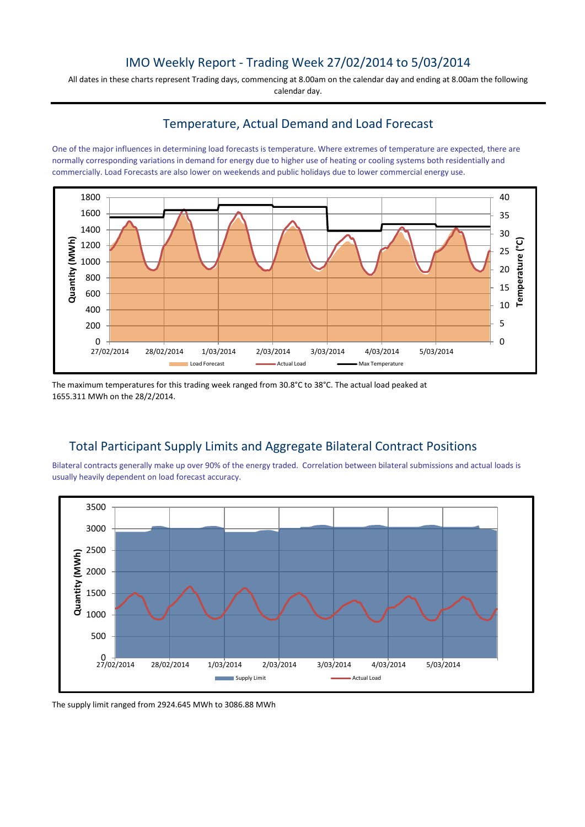## IMO Weekly Report - Trading Week 27/02/2014 to 5/03/2014

All dates in these charts represent Trading days, commencing at 8.00am on the calendar day and ending at 8.00am the following calendar day.

### Temperature, Actual Demand and Load Forecast

One of the major influences in determining load forecasts is temperature. Where extremes of temperature are expected, there are normally corresponding variations in demand for energy due to higher use of heating or cooling systems both residentially and commercially. Load Forecasts are also lower on weekends and public holidays due to lower commercial energy use.



The maximum temperatures for this trading week ranged from 30.8°C to 38°C. The actual load peaked at 1655.311 MWh on the 28/2/2014.

## Total Participant Supply Limits and Aggregate Bilateral Contract Positions

Bilateral contracts generally make up over 90% of the energy traded. Correlation between bilateral submissions and actual loads is usually heavily dependent on load forecast accuracy.



The supply limit ranged from 2924.645 MWh to 3086.88 MWh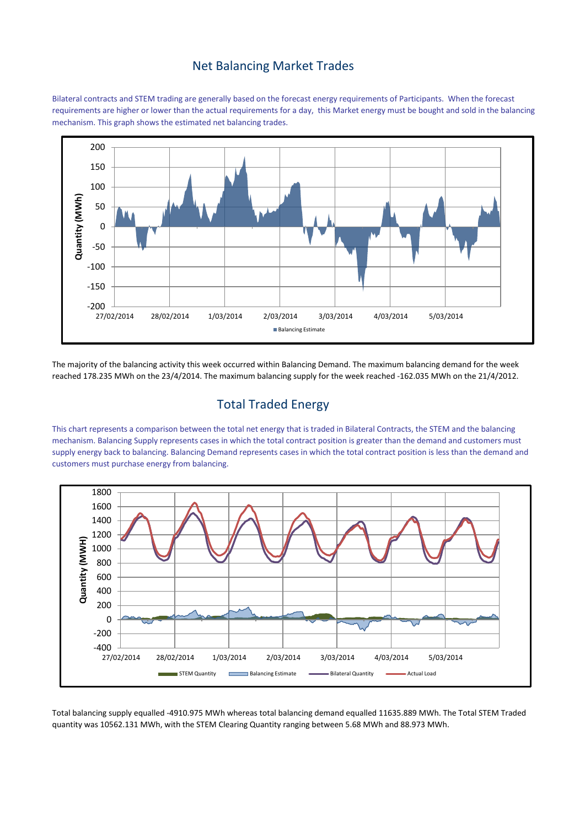#### Net Balancing Market Trades

Bilateral contracts and STEM trading are generally based on the forecast energy requirements of Participants. When the forecast requirements are higher or lower than the actual requirements for a day, this Market energy must be bought and sold in the balancing mechanism. This graph shows the estimated net balancing trades.



The majority of the balancing activity this week occurred within Balancing Demand. The maximum balancing demand for the week reached 178.235 MWh on the 23/4/2014. The maximum balancing supply for the week reached -162.035 MWh on the 21/4/2012.

# Total Traded Energy

This chart represents a comparison between the total net energy that is traded in Bilateral Contracts, the STEM and the balancing mechanism. Balancing Supply represents cases in which the total contract position is greater than the demand and customers must supply energy back to balancing. Balancing Demand represents cases in which the total contract position is less than the demand and customers must purchase energy from balancing.



Total balancing supply equalled -4910.975 MWh whereas total balancing demand equalled 11635.889 MWh. The Total STEM Traded quantity was 10562.131 MWh, with the STEM Clearing Quantity ranging between 5.68 MWh and 88.973 MWh.